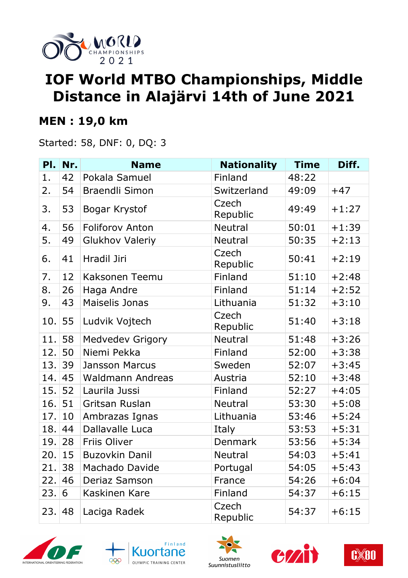

# **IOF World MTBO Championships, Middle Distance in Alajärvi 14th of June 2021**

#### **MEN : 19,0 km**

Started: 58, DNF: 0, DQ: 3

| PI. | Nr. | <b>Name</b>             | <b>Nationality</b> | <b>Time</b> | Diff.   |
|-----|-----|-------------------------|--------------------|-------------|---------|
| 1.  | 42  | Pokala Samuel           | Finland            | 48:22       |         |
| 2.  | 54  | <b>Braendli Simon</b>   | Switzerland        | 49:09       | $+47$   |
| 3.  | 53  | Bogar Krystof           | Czech<br>Republic  | 49:49       | $+1:27$ |
| 4.  | 56  | <b>Foliforov Anton</b>  | <b>Neutral</b>     | 50:01       | $+1:39$ |
| 5.  | 49  | <b>Glukhov Valeriy</b>  | <b>Neutral</b>     | 50:35       | $+2:13$ |
| 6.  | 41  | Hradil Jiri             | Czech<br>Republic  | 50:41       | $+2:19$ |
| 7.  | 12  | Kaksonen Teemu          | Finland            | 51:10       | $+2:48$ |
| 8.  | 26  | Haga Andre              | Finland            | 51:14       | $+2:52$ |
| 9.  | 43  | Maiselis Jonas          | Lithuania          | 51:32       | $+3:10$ |
| 10. | 55  | Ludvik Vojtech          | Czech<br>Republic  | 51:40       | $+3:18$ |
| 11. | 58  | <b>Medvedev Grigory</b> | <b>Neutral</b>     | 51:48       | $+3:26$ |
| 12. | 50  | Niemi Pekka             | Finland            | 52:00       | $+3:38$ |
| 13. | 39  | <b>Jansson Marcus</b>   | Sweden             | 52:07       | $+3:45$ |
| 14. | 45  | <b>Waldmann Andreas</b> | Austria            | 52:10       | $+3:48$ |
| 15. | 52  | Laurila Jussi           | Finland            | 52:27       | $+4:05$ |
| 16. | 51  | Gritsan Ruslan          | <b>Neutral</b>     | 53:30       | $+5:08$ |
| 17. | 10  | Ambrazas Ignas          | Lithuania          | 53:46       | $+5:24$ |
| 18. | 44  | Dallavalle Luca         | Italy              | 53:53       | $+5:31$ |
| 19. | 28  | Friis Oliver            | Denmark            | 53:56       | $+5:34$ |
| 20. | 15  | <b>Buzovkin Danil</b>   | <b>Neutral</b>     | 54:03       | $+5:41$ |
| 21. | 38  | Machado Davide          | Portugal           | 54:05       | $+5:43$ |
| 22. | 46  | <b>Deriaz Samson</b>    | France             | 54:26       | $+6:04$ |
| 23. | 6   | Kaskinen Kare           | Finland            | 54:37       | $+6:15$ |
| 23. | 48  | Laciga Radek            | Czech<br>Republic  | 54:37       | $+6:15$ |









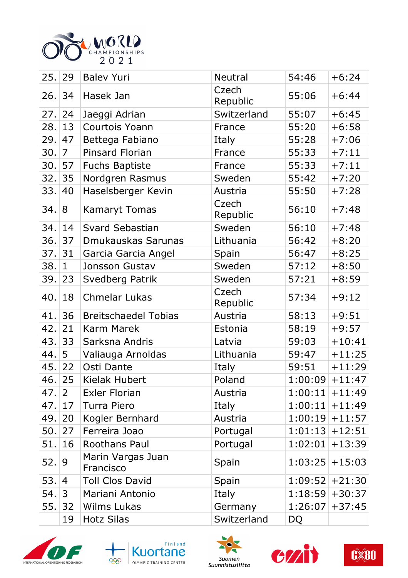

|         | 25. 29         | <b>Balev Yuri</b>              | Neutral           | 54:46     | $+6:24$           |
|---------|----------------|--------------------------------|-------------------|-----------|-------------------|
| 26. 34  |                | Hasek Jan                      | Czech<br>Republic | 55:06     | $+6:44$           |
| 27.  24 |                | Jaeggi Adrian                  | Switzerland       | 55:07     | $+6:45$           |
| 28. 13  |                | Courtois Yoann                 | France            | 55:20     | $+6:58$           |
| 29.     | 47             | Bettega Fabiano                | Italy             | 55:28     | $+7:06$           |
| 30.     | $\overline{7}$ | Pinsard Florian                | France            | 55:33     | $+7:11$           |
| 30.     | 57             | <b>Fuchs Baptiste</b>          | France            | 55:33     | $+7:11$           |
| 32.     | 35             | Nordgren Rasmus                | Sweden            | 55:42     | $+7:20$           |
| 33.     | 40             | Haselsberger Kevin             | Austria           | 55:50     | $+7:28$           |
| 34.8    |                | <b>Kamaryt Tomas</b>           | Czech<br>Republic | 56:10     | $+7:48$           |
| 34.     | 14             | Svard Sebastian                | Sweden            | 56:10     | $+7:48$           |
| 36.     | 37             | Dmukauskas Sarunas             | Lithuania         | 56:42     | $+8:20$           |
| 37.     | 31             | Garcia Garcia Angel            | Spain             | 56:47     | $+8:25$           |
| 38.     | $\mathbf{1}$   | Jonsson Gustav                 | Sweden            | 57:12     | $+8:50$           |
| 39.     | 23             | Svedberg Patrik                | Sweden            | 57:21     | $+8:59$           |
| 40.     | 18             | <b>Chmelar Lukas</b>           | Czech<br>Republic | 57:34     | $+9:12$           |
| 41.     | 36             | <b>Breitschaedel Tobias</b>    | Austria           | 58:13     | $+9:51$           |
| 42.     | 21             | <b>Karm Marek</b>              | Estonia           | 58:19     | $+9:57$           |
| 43.     | 33             | Sarksna Andris                 | Latvia            | 59:03     | $+10:41$          |
| 44.     | 5              | Valiauga Arnoldas              | Lithuania         | 59:47     | $+11:25$          |
| 45.     | 22             | Osti Dante                     | Italy             | 59:51     | $+11:29$          |
|         | 46. 25         | Kielak Hubert                  | Poland            |           | $1:00:09$ + 11:47 |
| 47.  2  |                | <b>Exler Florian</b>           | Austria           |           | $1:00:11$ + 11:49 |
| 47.     | 17             | Turra Piero                    | Italy             |           | $1:00:11$ + 11:49 |
| 49.     | 20             | Kogler Bernhard                | Austria           |           | $1:00:19$ + 11:57 |
| 50.     | 27             | Ferreira Joao                  | Portugal          |           | $1:01:13$ + 12:51 |
| 51.     | 16             | Roothans Paul                  | Portugal          |           | $1:02:01$ + 13:39 |
| 52.     | 9              | Marin Vargas Juan<br>Francisco | Spain             |           | $1:03:25$ + 15:03 |
| 53.  4  |                | <b>Toll Clos David</b>         | Spain             |           | $1:09:52$ + 21:30 |
| 54.     | 3              | Mariani Antonio                | Italy             |           | $1:18:59$ + 30:37 |
| 55.     | 32             | <b>Wilms Lukas</b>             | Germany           |           | $1:26:07$ + 37:45 |
|         | 19             | <b>Hotz Silas</b>              | Switzerland       | <b>DQ</b> |                   |









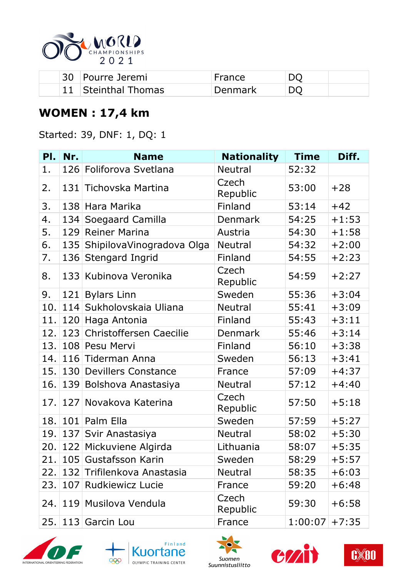

| 30 | Pourre Jeremi    | France  |  |
|----|------------------|---------|--|
|    | Steinthal Thomas | )enmark |  |

### **WOMEN : 17,4 km**

Started: 39, DNF: 1, DQ: 1

| PI.  | Nr. | <b>Name</b>                 | <b>Nationality</b> | <b>Time</b> | Diff.   |
|------|-----|-----------------------------|--------------------|-------------|---------|
| 1.   |     | 126 Foliforova Svetlana     | <b>Neutral</b>     | 52:32       |         |
| 2.   | 131 | Tichovska Martina           | Czech<br>Republic  | 53:00       | $+28$   |
| 3.   | 138 | Hara Marika                 | Finland            | 53:14       | $+42$   |
| 4.   | 134 | Soegaard Camilla            | Denmark            | 54:25       | $+1:53$ |
| 5.   | 129 | <b>Reiner Marina</b>        | Austria            | 54:30       | $+1:58$ |
| 6.   | 135 | ShipilovaVinogradova Olga   | <b>Neutral</b>     | 54:32       | $+2:00$ |
| 7.   | 136 | <b>Stengard Ingrid</b>      | Finland            | 54:55       | $+2:23$ |
| 8.   |     | 133 Kubinova Veronika       | Czech<br>Republic  | 54:59       | $+2:27$ |
| 9.   | 121 | <b>Bylars Linn</b>          | Sweden             | 55:36       | $+3:04$ |
| 10.  | 114 | Sukholovskaia Uliana        | <b>Neutral</b>     | 55:41       | $+3:09$ |
| 11.  | 120 | Haga Antonia                | Finland            | 55:43       | $+3:11$ |
| 12.  |     | 123 Christoffersen Caecilie | Denmark            | 55:46       | $+3:14$ |
| 13.  |     | 108 Pesu Mervi              | Finland            | 56:10       | $+3:38$ |
| 14.1 |     | 116 Tiderman Anna           | Sweden             | 56:13       | $+3:41$ |
| 15.1 | 130 | <b>Devillers Constance</b>  | France             | 57:09       | $+4:37$ |
| 16.  | 139 | Bolshova Anastasiya         | <b>Neutral</b>     | 57:12       | $+4:40$ |
| 17.  |     | 127 Novakova Katerina       | Czech<br>Republic  | 57:50       | $+5:18$ |
| 18.  | 101 | Palm Ella                   | Sweden             | 57:59       | $+5:27$ |
| 19.  | 137 | Svir Anastasiya             | <b>Neutral</b>     | 58:02       | $+5:30$ |
| 20.1 |     | 122 Mickuviene Algirda      | Lithuania          | 58:07       | $+5:35$ |
|      |     | 21. 105 Gustafsson Karin    | Sweden             | 58:29       | $+5:57$ |
| 22.  |     | 132 Trifilenkova Anastasia  | <b>Neutral</b>     | 58:35       | $+6:03$ |
| 23.  | 107 | <b>Rudkiewicz Lucie</b>     | France             | 59:20       | $+6:48$ |
| 24.1 |     | 119 Musilova Vendula        | Czech<br>Republic  | 59:30       | $+6:58$ |
| 25.  |     | 113 Garcin Lou              | France             | 1:00:07     | $+7:35$ |









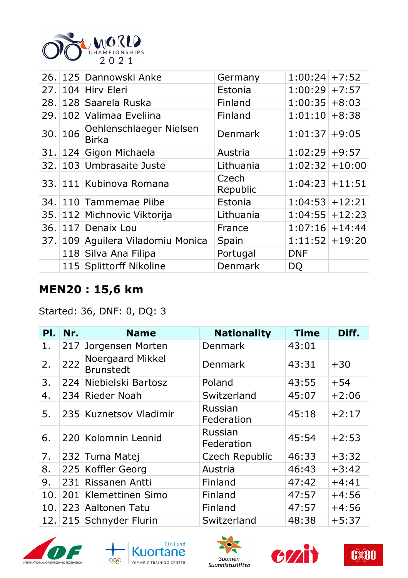

|        | 26. 125 Dannowski Anke                  | Germany           | $1:00:24$ +7:52   |  |
|--------|-----------------------------------------|-------------------|-------------------|--|
|        | 27. 104 Hirv Eleri                      | Estonia           | $1:00:29$ + 7:57  |  |
|        | 28. 128 Saarela Ruska                   | Finland           | $1:00:35$ +8:03   |  |
|        | 29. 102 Valimaa Eveliina                | Finland           | $1:01:10$ +8:38   |  |
| 30.106 | Oehlenschlaeger Nielsen<br><b>Birka</b> | <b>Denmark</b>    | $1:01:37$ +9:05   |  |
|        | 31. 124 Gigon Michaela                  | Austria           | $1:02:29$ +9:57   |  |
|        | 32. 103 Umbrasaite Juste                | Lithuania         | $1:02:32$ + 10:00 |  |
|        | 33. 111 Kubinova Romana                 | Czech<br>Republic | $1:04:23+11:51$   |  |
|        | 34. 110 Tammemae Piibe                  | Estonia           | $1:04:53+12:21$   |  |
|        | 35. 112 Michnovic Viktorija             | Lithuania         | $1:04:55$ + 12:23 |  |
|        | 36. 117 Denaix Lou                      | France            | $1:07:16$ + 14:44 |  |
|        | 37. 109 Aguilera Viladomiu Monica       | Spain             | $1:11:52$ + 19:20 |  |
|        | 118 Silva Ana Filipa                    | Portugal          | <b>DNF</b>        |  |
|        | 115 Splittorff Nikoline                 | Denmark           | DQ                |  |

### **MEN20 : 15,6 km**

Started: 36, DNF: 0, DQ: 3

| PI. | Nr. | <b>Name</b>                          | <b>Nationality</b>           | <b>Time</b> | Diff.   |
|-----|-----|--------------------------------------|------------------------------|-------------|---------|
| 1.  | 217 | Jorgensen Morten                     | <b>Denmark</b>               | 43:01       |         |
| 2.  | 222 | Noergaard Mikkel<br><b>Brunstedt</b> | <b>Denmark</b>               | 43:31       | $+30$   |
| 3.  |     | 224 Niebielski Bartosz               | Poland                       | 43:55       | $+54$   |
| 4.  |     | 234 Rieder Noah                      | Switzerland                  | 45:07       | $+2:06$ |
| 5.  |     | 235 Kuznetsov Vladimir               | Russian<br>Federation        | 45:18       | $+2:17$ |
| 6.  |     | 220 Kolomnin Leonid                  | <b>Russian</b><br>Federation | 45:54       | $+2:53$ |
| 7.  |     | 232 Tuma Matej                       | <b>Czech Republic</b>        | 46:33       | $+3:32$ |
| 8.  |     | 225 Koffler Georg                    | Austria                      | 46:43       | $+3:42$ |
| 9.  | 231 | Rissanen Antti                       | Finland                      | 47:42       | $+4:41$ |
| 10. |     | 201 Klemettinen Simo                 | Finland                      | 47:57       | $+4:56$ |
|     |     | 10. 223 Aaltonen Tatu                | Finland                      | 47:57       | $+4:56$ |
|     |     | 12. 215 Schnyder Flurin              | Switzerland                  | 48:38       | $+5:37$ |









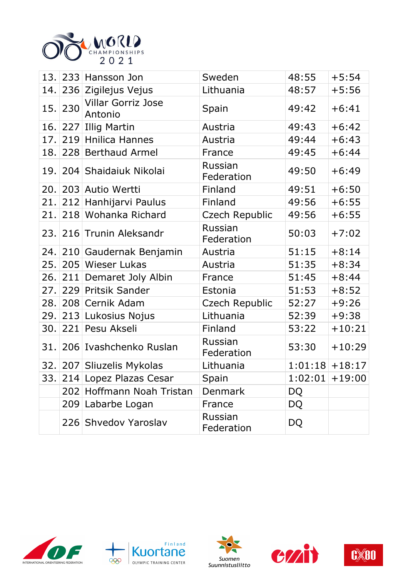

| 13.   |     | 233 Hansson Jon                      | Sweden                | 48:55     | $+5:54$           |
|-------|-----|--------------------------------------|-----------------------|-----------|-------------------|
| 14.   |     | 236 Zigilejus Vejus                  | Lithuania             | 48:57     | $+5:56$           |
| 15.   | 230 | <b>Villar Gorriz Jose</b><br>Antonio | Spain                 | 49:42     | $+6:41$           |
| 16.   | 227 | <b>Illig Martin</b>                  | Austria               | 49:43     | $+6:42$           |
| 17.   |     | 219 Hnilica Hannes                   | Austria               | 49:44     | $+6:43$           |
| 18.   |     | 228 Berthaud Armel                   | France                | 49:45     | $+6:44$           |
|       |     | 19. 204 Shaidaiuk Nikolai            | Russian<br>Federation | 49:50     | $+6:49$           |
|       |     | 20. 203 Autio Wertti                 | Finland               | 49:51     | $+6:50$           |
| 21.   |     | 212 Hanhijarvi Paulus                | Finland               | 49:56     | $+6:55$           |
| 21.   |     | 218 Wohanka Richard                  | Czech Republic        | 49:56     | $+6:55$           |
|       |     | 23. 216 Trunin Aleksandr             | Russian<br>Federation | 50:03     | $+7:02$           |
|       |     | 24. 210 Gaudernak Benjamin           | Austria               | 51:15     | $+8:14$           |
| 25.   |     | 205 Wieser Lukas                     | Austria               | 51:35     | $+8:34$           |
| 26. l |     | 211 Demaret Joly Albin               | France                | 51:45     | $+8:44$           |
| 27.   |     | 229 Pritsik Sander                   | Estonia               | 51:53     | $+8:52$           |
| 28.   |     | 208 Cernik Adam                      | Czech Republic        | 52:27     | $+9:26$           |
|       |     | 29. 213 Lukosius Nojus               | Lithuania             | 52:39     | $+9:38$           |
| 30.   |     | 221 Pesu Akseli                      | Finland               | 53:22     | $+10:21$          |
| 31.   |     | 206 Ivashchenko Ruslan               | Russian<br>Federation | 53:30     | $+10:29$          |
|       |     | 32. 207 Sliuzelis Mykolas            | Lithuania             |           | $1:01:18$ + 18:17 |
|       |     | 33. 214 Lopez Plazas Cesar           | Spain                 |           | $1:02:01$ + 19:00 |
|       |     | 202 Hoffmann Noah Tristan            | <b>Denmark</b>        | DQ        |                   |
|       |     | 209 Labarbe Logan                    | France                | DQ        |                   |
|       |     | 226 Shvedov Yaroslav                 | Russian<br>Federation | <b>DQ</b> |                   |









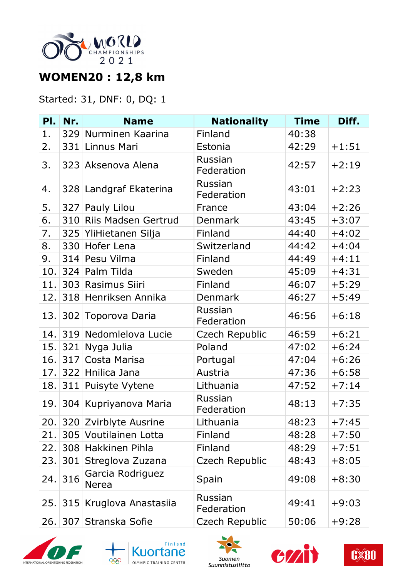

## **WOMEN20 : 12,8 km**

#### Started: 31, DNF: 0, DQ: 1

| PI.  | Nr. | <b>Name</b>                      | <b>Nationality</b>           | <b>Time</b> | Diff.   |
|------|-----|----------------------------------|------------------------------|-------------|---------|
| 1.   |     | 329 Nurminen Kaarina             | Finland                      | 40:38       |         |
| 2.   |     | 331 Linnus Mari                  | Estonia                      | 42:29       | $+1:51$ |
| 3.   |     | 323 Aksenova Alena               | Russian<br>Federation        | 42:57       | $+2:19$ |
| 4.   |     | 328 Landgraf Ekaterina           | Russian<br>Federation        | 43:01       | $+2:23$ |
| 5.   |     | 327 Pauly Lilou                  | France                       | 43:04       | $+2:26$ |
| 6.   |     | 310 Riis Madsen Gertrud          | <b>Denmark</b>               | 43:45       | $+3:07$ |
| 7.   |     | 325 YliHietanen Silja            | Finland                      | 44:40       | $+4:02$ |
| 8.   |     | 330 Hofer Lena                   | Switzerland                  | 44:42       | $+4:04$ |
| 9.   |     | 314 Pesu Vilma                   | Finland                      | 44:49       | $+4:11$ |
| 10.  |     | 324 Palm Tilda                   | Sweden                       | 45:09       | $+4:31$ |
| 11.  |     | 303 Rasimus Siiri                | Finland                      | 46:07       | $+5:29$ |
| 12.  |     | 318 Henriksen Annika             | <b>Denmark</b>               | 46:27       | $+5:49$ |
| 13.  |     | 302 Toporova Daria               | Russian<br>Federation        | 46:56       | $+6:18$ |
| 14.  |     | 319 Nedomlelova Lucie            | Czech Republic               | 46:59       | $+6:21$ |
| 15.  |     | 321 Nyga Julia                   | Poland                       | 47:02       | $+6:24$ |
| 16.  |     | 317 Costa Marisa                 | Portugal                     | 47:04       | $+6:26$ |
|      |     | 17. 322 Hnilica Jana             | Austria                      | 47:36       | $+6:58$ |
|      |     | 18. 311 Puisyte Vytene           | Lithuania                    | 47:52       | $+7:14$ |
|      |     | 19. 304 Kupriyanova Maria        | Russian<br>Federation        | 48:13       | $+7:35$ |
| 20.1 |     | 320 Zvirblyte Ausrine            | Lithuania                    | 48:23       | $+7:45$ |
| 21.  |     | 305 Voutilainen Lotta            | Finland                      | 48:28       | $+7:50$ |
| 22.  |     | 308 Hakkinen Pihla               | Finland                      | 48:29       | $+7:51$ |
| 23.  | 301 | Streglova Zuzana                 | <b>Czech Republic</b>        | 48:43       | $+8:05$ |
| 24.  | 316 | Garcia Rodriguez<br><b>Nerea</b> | Spain                        | 49:08       | $+8:30$ |
| 25.  |     | 315 Kruglova Anastasiia          | <b>Russian</b><br>Federation | 49:41       | $+9:03$ |
| 26.  | 307 | Stranska Sofie                   | Czech Republic               | 50:06       | $+9:28$ |